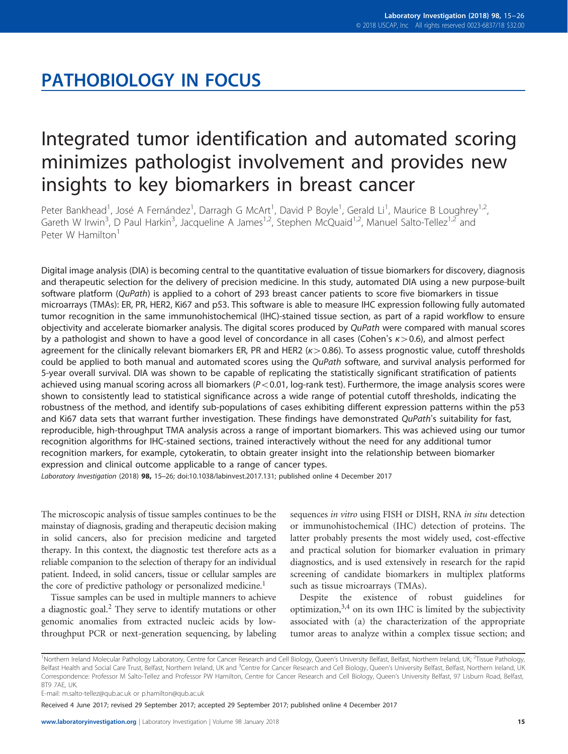# PATHOBIOLOGY IN FOCUS

# Integrated tumor identification and automated scoring minimizes pathologist involvement and provides new insights to key biomarkers in breast cancer

Peter Bankhead<sup>1</sup>, José A Fernández<sup>1</sup>, Darragh G McArt<sup>1</sup>, David P Boyle<sup>1</sup>, Gerald Li<sup>1</sup>, Maurice B Loughrey<sup>1,2</sup>, Gareth W Irwin<sup>3</sup>, D Paul Harkin<sup>3</sup>, Jacqueline A James<sup>1,2</sup>, Stephen McQuaid<sup>1,2</sup>, Manuel Salto-Tellez<sup>1,2</sup> and Peter W Hamilton<sup>1</sup>

Digital image analysis (DIA) is becoming central to the quantitative evaluation of tissue biomarkers for discovery, diagnosis and therapeutic selection for the delivery of precision medicine. In this study, automated DIA using a new purpose-built software platform (QuPath) is applied to a cohort of 293 breast cancer patients to score five biomarkers in tissue microarrays (TMAs): ER, PR, HER2, Ki67 and p53. This software is able to measure IHC expression following fully automated tumor recognition in the same immunohistochemical (IHC)-stained tissue section, as part of a rapid workflow to ensure objectivity and accelerate biomarker analysis. The digital scores produced by QuPath were compared with manual scores by a pathologist and shown to have a good level of concordance in all cases (Cohen's  $k > 0.6$ ), and almost perfect agreement for the clinically relevant biomarkers ER, PR and HER2 ( $k > 0.86$ ). To assess prognostic value, cutoff thresholds could be applied to both manual and automated scores using the QuPath software, and survival analysis performed for 5-year overall survival. DIA was shown to be capable of replicating the statistically significant stratification of patients achieved using manual scoring across all biomarkers ( $P < 0.01$ , log-rank test). Furthermore, the image analysis scores were shown to consistently lead to statistical significance across a wide range of potential cutoff thresholds, indicating the robustness of the method, and identify sub-populations of cases exhibiting different expression patterns within the p53 and Ki67 data sets that warrant further investigation. These findings have demonstrated QuPath's suitability for fast, reproducible, high-throughput TMA analysis across a range of important biomarkers. This was achieved using our tumor recognition algorithms for IHC-stained sections, trained interactively without the need for any additional tumor recognition markers, for example, cytokeratin, to obtain greater insight into the relationship between biomarker expression and clinical outcome applicable to a range of cancer types.

Laboratory Investigation (2018) 98, <sup>15</sup>–26; doi[:10.1038/labinvest.2017.131](http://dx.doi.org/10.1038/labinvest.2017.131); published online 4 December 2017

The microscopic analysis of tissue samples continues to be the mainstay of diagnosis, grading and therapeutic decision making in solid cancers, also for precision medicine and targeted therapy. In this context, the diagnostic test therefore acts as a reliable companion to the selection of therapy for an individual patient. Indeed, in solid cancers, tissue or cellular samples are the core of predictive pathology or personalized medicine.<sup>1</sup>

Tissue samples can be used in multiple manners to achieve a diagnostic goal.<sup>[2](#page-11-0)</sup> They serve to identify mutations or other genomic anomalies from extracted nucleic acids by lowthroughput PCR or next-generation sequencing, by labeling sequences in vitro using FISH or DISH, RNA in situ detection or immunohistochemical (IHC) detection of proteins. The latter probably presents the most widely used, cost-effective and practical solution for biomarker evaluation in primary diagnostics, and is used extensively in research for the rapid screening of candidate biomarkers in multiplex platforms such as tissue microarrays (TMAs).

Despite the existence of robust guidelines for optimization, $3,4$  on its own IHC is limited by the subjectivity associated with (a) the characterization of the appropriate tumor areas to analyze within a complex tissue section; and

Received 4 June 2017; revised 29 September 2017; accepted 29 September 2017; published online 4 December 2017

<sup>&</sup>lt;sup>1</sup>Northern Ireland Molecular Pathology Laboratory, Centre for Cancer Research and Cell Biology, Queen's University Belfast, Belfast, Northern Ireland, UK; <sup>2</sup>Tissue Pathology, Belfast Health and Social Care Trust, Belfast, Northern Ireland, UK and <sup>3</sup>Centre for Cancer Research and Cell Biology, Queen's University Belfast, Belfast, Northern Ireland, UK Correspondence: Professor M Salto-Tellez and Professor PW Hamilton, Centre for Cancer Research and Cell Biology, Queen's University Belfast, 97 Lisburn Road, Belfast, **BT9 7AF, UK.** 

E-mail: [m.salto-tellez@qub.ac.uk](mailto:m.salto-tellez@qub.ac.uk) or [p.hamilton@qub.ac.uk](mailto:p.hamilton@qub.ac.uk)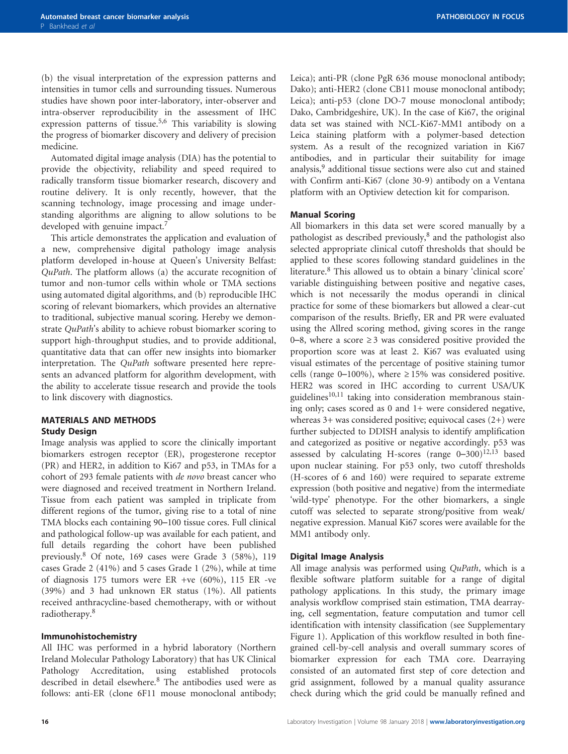(b) the visual interpretation of the expression patterns and intensities in tumor cells and surrounding tissues. Numerous studies have shown poor inter-laboratory, inter-observer and intra-observer reproducibility in the assessment of IHC expression patterns of tissue.<sup>[5,6](#page-11-0)</sup> This variability is slowing the progress of biomarker discovery and delivery of precision medicine.

Automated digital image analysis (DIA) has the potential to provide the objectivity, reliability and speed required to radically transform tissue biomarker research, discovery and routine delivery. It is only recently, however, that the scanning technology, image processing and image understanding algorithms are aligning to allow solutions to be developed with genuine impact.<sup>7</sup>

This article demonstrates the application and evaluation of a new, comprehensive digital pathology image analysis platform developed in-house at Queen's University Belfast: QuPath. The platform allows (a) the accurate recognition of tumor and non-tumor cells within whole or TMA sections using automated digital algorithms, and (b) reproducible IHC scoring of relevant biomarkers, which provides an alternative to traditional, subjective manual scoring. Hereby we demonstrate QuPath's ability to achieve robust biomarker scoring to support high-throughput studies, and to provide additional, quantitative data that can offer new insights into biomarker interpretation. The QuPath software presented here represents an advanced platform for algorithm development, with the ability to accelerate tissue research and provide the tools to link discovery with diagnostics.

# MATERIALS AND METHODS Study Design

Image analysis was applied to score the clinically important biomarkers estrogen receptor (ER), progesterone receptor (PR) and HER2, in addition to Ki67 and p53, in TMAs for a cohort of 293 female patients with de novo breast cancer who were diagnosed and received treatment in Northern Ireland. Tissue from each patient was sampled in triplicate from different regions of the tumor, giving rise to a total of nine TMA blocks each containing 90–100 tissue cores. Full clinical and pathological follow-up was available for each patient, and full details regarding the cohort have been published previously.[8](#page-11-0) Of note, 169 cases were Grade 3 (58%), 119 cases Grade 2 (41%) and 5 cases Grade 1 (2%), while at time of diagnosis 175 tumors were ER +ve (60%), 115 ER -ve (39%) and 3 had unknown ER status (1%). All patients received anthracycline-based chemotherapy, with or without radiotherapy.[8](#page-11-0)

# Immunohistochemistry

All IHC was performed in a hybrid laboratory (Northern Ireland Molecular Pathology Laboratory) that has UK Clinical Pathology Accreditation, using established protocols described in detail elsewhere.[8](#page-11-0) The antibodies used were as follows: anti-ER (clone 6F11 mouse monoclonal antibody; Leica); anti-PR (clone PgR 636 mouse monoclonal antibody; Dako); anti-HER2 (clone CB11 mouse monoclonal antibody; Leica); anti-p53 (clone DO-7 mouse monoclonal antibody; Dako, Cambridgeshire, UK). In the case of Ki67, the original data set was stained with NCL-Ki67-MM1 antibody on a Leica staining platform with a polymer-based detection system. As a result of the recognized variation in Ki67 antibodies, and in particular their suitability for image analysis,<sup>[9](#page-11-0)</sup> additional tissue sections were also cut and stained with Confirm anti-Ki67 (clone 30-9) antibody on a Ventana platform with an Optiview detection kit for comparison.

# Manual Scoring

All biomarkers in this data set were scored manually by a pathologist as described previously,<sup>[8](#page-11-0)</sup> and the pathologist also selected appropriate clinical cutoff thresholds that should be applied to these scores following standard guidelines in the literature.[8](#page-11-0) This allowed us to obtain a binary 'clinical score' variable distinguishing between positive and negative cases, which is not necessarily the modus operandi in clinical practice for some of these biomarkers but allowed a clear-cut comparison of the results. Briefly, ER and PR were evaluated using the Allred scoring method, giving scores in the range 0–8, where a score  $\geq$  3 was considered positive provided the proportion score was at least 2. Ki67 was evaluated using visual estimates of the percentage of positive staining tumor cells (range 0–100%), where  $\geq 15\%$  was considered positive. HER2 was scored in IHC according to current USA/UK guidelines $10,11$  taking into consideration membranous staining only; cases scored as 0 and 1+ were considered negative, whereas 3+ was considered positive; equivocal cases (2+) were further subjected to DDISH analysis to identify amplification and categorized as positive or negative accordingly. p53 was assessed by calculating H-scores (range  $0-300$ )<sup>[12,13](#page-11-0)</sup> based upon nuclear staining. For p53 only, two cutoff thresholds (H-scores of 6 and 160) were required to separate extreme expression (both positive and negative) from the intermediate 'wild-type' phenotype. For the other biomarkers, a single cutoff was selected to separate strong/positive from weak/ negative expression. Manual Ki67 scores were available for the MM1 antibody only.

# Digital Image Analysis

All image analysis was performed using QuPath, which is a flexible software platform suitable for a range of digital pathology applications. In this study, the primary image analysis workflow comprised stain estimation, TMA dearraying, cell segmentation, feature computation and tumor cell identification with intensity classification (see Supplementary Figure 1). Application of this workflow resulted in both finegrained cell-by-cell analysis and overall summary scores of biomarker expression for each TMA core. Dearraying consisted of an automated first step of core detection and grid assignment, followed by a manual quality assurance check during which the grid could be manually refined and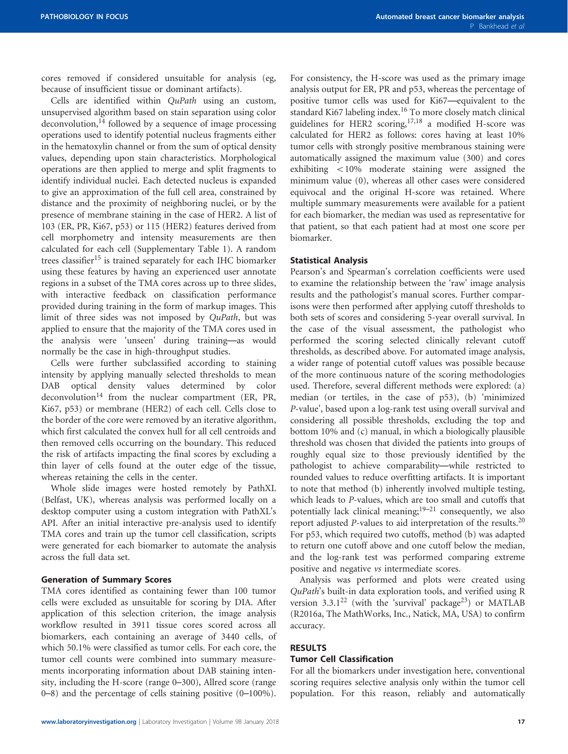cores removed if considered unsuitable for analysis (eg, because of insufficient tissue or dominant artifacts).

Cells are identified within QuPath using an custom, unsupervised algorithm based on stain separation using color deconvolution, $^{14}$  $^{14}$  $^{14}$  followed by a sequence of image processing operations used to identify potential nucleus fragments either in the hematoxylin channel or from the sum of optical density values, depending upon stain characteristics. Morphological operations are then applied to merge and split fragments to identify individual nuclei. Each detected nucleus is expanded to give an approximation of the full cell area, constrained by distance and the proximity of neighboring nuclei, or by the presence of membrane staining in the case of HER2. A list of 103 (ER, PR, Ki67, p53) or 115 (HER2) features derived from cell morphometry and intensity measurements are then calculated for each cell (Supplementary Table 1). A random trees classifier<sup>[15](#page-11-0)</sup> is trained separately for each IHC biomarker using these features by having an experienced user annotate regions in a subset of the TMA cores across up to three slides, with interactive feedback on classification performance provided during training in the form of markup images. This limit of three sides was not imposed by QuPath, but was applied to ensure that the majority of the TMA cores used in the analysis were 'unseen' during training—as would normally be the case in high-throughput studies.

Cells were further subclassified according to staining intensity by applying manually selected thresholds to mean DAB optical density values determined by color deconvolution<sup>[14](#page-11-0)</sup> from the nuclear compartment (ER, PR, Ki67, p53) or membrane (HER2) of each cell. Cells close to the border of the core were removed by an iterative algorithm, which first calculated the convex hull for all cell centroids and then removed cells occurring on the boundary. This reduced the risk of artifacts impacting the final scores by excluding a thin layer of cells found at the outer edge of the tissue, whereas retaining the cells in the center.

Whole slide images were hosted remotely by PathXL (Belfast, UK), whereas analysis was performed locally on a desktop computer using a custom integration with PathXL's API. After an initial interactive pre-analysis used to identify TMA cores and train up the tumor cell classification, scripts were generated for each biomarker to automate the analysis across the full data set.

#### Generation of Summary Scores

TMA cores identified as containing fewer than 100 tumor cells were excluded as unsuitable for scoring by DIA. After application of this selection criterion, the image analysis workflow resulted in 3911 tissue cores scored across all biomarkers, each containing an average of 3440 cells, of which 50.1% were classified as tumor cells. For each core, the tumor cell counts were combined into summary measurements incorporating information about DAB staining intensity, including the H-score (range 0–300), Allred score (range 0–8) and the percentage of cells staining positive (0–100%).

For consistency, the H-score was used as the primary image analysis output for ER, PR and p53, whereas the percentage of positive tumor cells was used for Ki67—equivalent to the standard Ki67 labeling index.<sup>[16](#page-11-0)</sup> To more closely match clinical guidelines for HER2 scoring,[17](#page-11-0),[18](#page-11-0) a modified H-score was calculated for HER2 as follows: cores having at least 10% tumor cells with strongly positive membranous staining were automatically assigned the maximum value (300) and cores exhibiting  $<10\%$  moderate staining were assigned the minimum value (0), whereas all other cases were considered equivocal and the original H-score was retained. Where multiple summary measurements were available for a patient for each biomarker, the median was used as representative for that patient, so that each patient had at most one score per biomarker.

#### Statistical Analysis

Pearson's and Spearman's correlation coefficients were used to examine the relationship between the 'raw' image analysis results and the pathologist's manual scores. Further comparisons were then performed after applying cutoff thresholds to both sets of scores and considering 5-year overall survival. In the case of the visual assessment, the pathologist who performed the scoring selected clinically relevant cutoff thresholds, as described above. For automated image analysis, a wider range of potential cutoff values was possible because of the more continuous nature of the scoring methodologies used. Therefore, several different methods were explored: (a) median (or tertiles, in the case of p53), (b) 'minimized P-value', based upon a log-rank test using overall survival and considering all possible thresholds, excluding the top and bottom 10% and (c) manual, in which a biologically plausible threshold was chosen that divided the patients into groups of roughly equal size to those previously identified by the pathologist to achieve comparability—while restricted to rounded values to reduce overfitting artifacts. It is important to note that method (b) inherently involved multiple testing, which leads to P-values, which are too small and cutoffs that potentially lack clinical meaning; $19-21$  $19-21$  consequently, we also report adjusted P-values to aid interpretation of the results.[20](#page-11-0) For p53, which required two cutoffs, method (b) was adapted to return one cutoff above and one cutoff below the median, and the log-rank test was performed comparing extreme positive and negative vs intermediate scores.

Analysis was performed and plots were created using QuPath's built-in data exploration tools, and verified using R version  $3.3.1^{22}$  $3.3.1^{22}$  $3.3.1^{22}$  (with the 'survival' package<sup>[23](#page-11-0)</sup>) or MATLAB (R2016a, The MathWorks, Inc., Natick, MA, USA) to confirm accuracy.

### RESULTS

# Tumor Cell Classification

For all the biomarkers under investigation here, conventional scoring requires selective analysis only within the tumor cell population. For this reason, reliably and automatically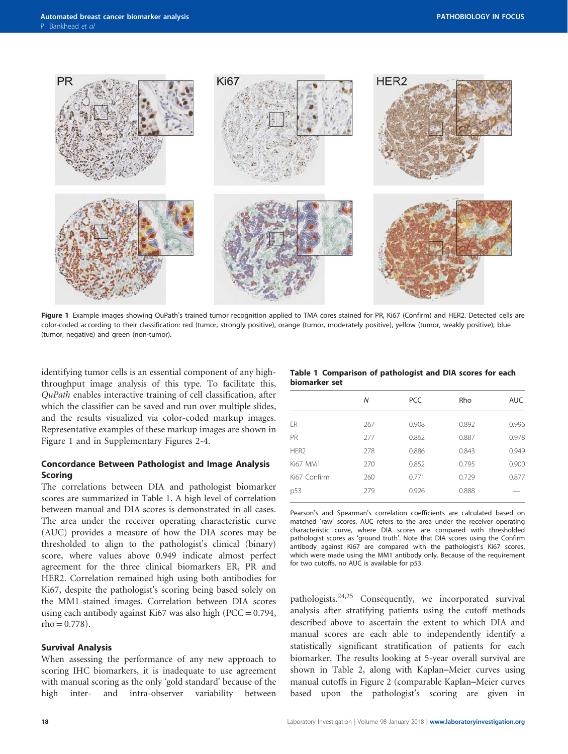

Figure 1 Example images showing QuPath's trained tumor recognition applied to TMA cores stained for PR, Ki67 (Confirm) and HER2. Detected cells are color-coded according to their classification: red (tumor, strongly positive), orange (tumor, moderately positive), yellow (tumor, weakly positive), blue (tumor, negative) and green (non-tumor).

identifying tumor cells is an essential component of any highthroughput image analysis of this type. To facilitate this, QuPath enables interactive training of cell classification, after which the classifier can be saved and run over multiple slides, and the results visualized via color-coded markup images. Representative examples of these markup images are shown in Figure 1 and in Supplementary Figures 2-4.

# Concordance Between Pathologist and Image Analysis Scoring

The correlations between DIA and pathologist biomarker scores are summarized in Table 1. A high level of correlation between manual and DIA scores is demonstrated in all cases. The area under the receiver operating characteristic curve (AUC) provides a measure of how the DIA scores may be thresholded to align to the pathologist's clinical (binary) score, where values above 0.949 indicate almost perfect agreement for the three clinical biomarkers ER, PR and HER2. Correlation remained high using both antibodies for Ki67, despite the pathologist's scoring being based solely on the MM1-stained images. Correlation between DIA scores using each antibody against Ki67 was also high ( $PCC = 0.794$ ,  $rho = 0.778$ ).

#### Survival Analysis

When assessing the performance of any new approach to scoring IHC biomarkers, it is inadequate to use agreement with manual scoring as the only 'gold standard' because of the high inter- and intra-observer variability between

|               | Table 1 Comparison of pathologist and DIA scores for each |  |  |  |  |
|---------------|-----------------------------------------------------------|--|--|--|--|
| biomarker set |                                                           |  |  |  |  |

|                  | N   | <b>PCC</b> | Rho   | <b>AUC</b> |
|------------------|-----|------------|-------|------------|
| ER               | 267 | 0.908      | 0.892 | 0.996      |
| PR               | 277 | 0.862      | 0.887 | 0.978      |
| HER <sub>2</sub> | 278 | 0.886      | 0.843 | 0.949      |
| Ki67 MM1         | 270 | 0.852      | 0.795 | 0.900      |
| Ki67 Confirm     | 260 | 0.771      | 0.729 | 0.877      |
| p53              | 279 | 0.926      | 0.888 |            |

Pearson's and Spearman's correlation coefficients are calculated based on matched 'raw' scores. AUC refers to the area under the receiver operating characteristic curve, where DIA scores are compared with thresholded pathologist scores as 'ground truth'. Note that DIA scores using the Confirm antibody against Ki67 are compared with the pathologist's Ki67 scores, which were made using the MM1 antibody only. Because of the requirement for two cutoffs, no AUC is available for p53.

pathologists.[24,25](#page-11-0) Consequently, we incorporated survival analysis after stratifying patients using the cutoff methods described above to ascertain the extent to which DIA and manual scores are each able to independently identify a statistically significant stratification of patients for each biomarker. The results looking at 5-year overall survival are shown in [Table 2](#page-4-0), along with Kaplan–Meier curves using manual cutoffs in [Figure 2](#page-5-0) (comparable Kaplan–Meier curves based upon the pathologist's scoring are given in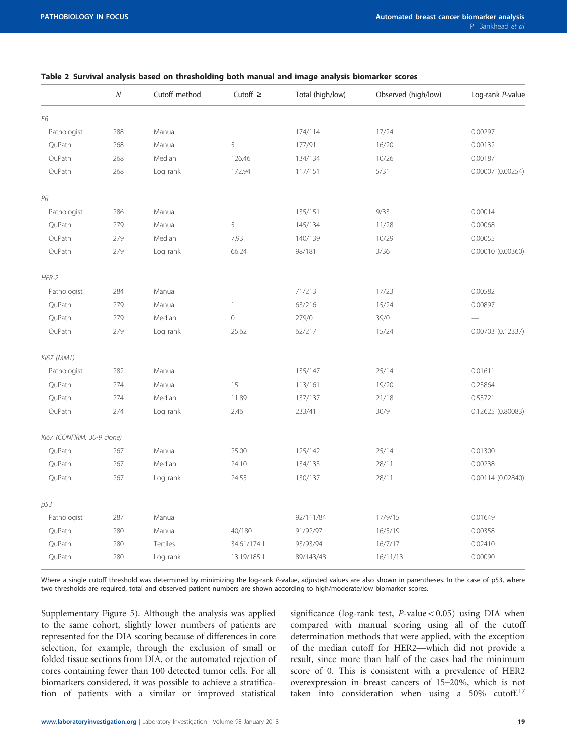|                            | ${\cal N}$ | Cutoff method | Cutoff $\geq$ | Total (high/low) | Observed (high/low) | Log-rank P-value  |
|----------------------------|------------|---------------|---------------|------------------|---------------------|-------------------|
| ER                         |            |               |               |                  |                     |                   |
| Pathologist                | 288        | Manual        |               | 174/114          | 17/24               | 0.00297           |
| QuPath                     | 268        | Manual        | 5             | 177/91           | 16/20               | 0.00132           |
| QuPath                     | 268        | Median        | 126.46        | 134/134          | 10/26               | 0.00187           |
| QuPath                     | 268        | Log rank      | 172.94        | 117/151          | 5/31                | 0.00007 (0.00254) |
| PR                         |            |               |               |                  |                     |                   |
| Pathologist                | 286        | Manual        |               | 135/151          | 9/33                | 0.00014           |
| QuPath                     | 279        | Manual        | 5             | 145/134          | 11/28               | 0.00068           |
| QuPath                     | 279        | Median        | 7.93          | 140/139          | 10/29               | 0.00055           |
| QuPath                     | 279        | Log rank      | 66.24         | 98/181           | 3/36                | 0.00010 (0.00360) |
| $HER-2$                    |            |               |               |                  |                     |                   |
| Pathologist                | 284        | Manual        |               | 71/213           | 17/23               | 0.00582           |
| QuPath                     | 279        | Manual        | $\mathbf{1}$  | 63/216           | 15/24               | 0.00897           |
| QuPath                     | 279        | Median        | $\circ$       | 279/0            | 39/0                |                   |
| QuPath                     | 279        | Log rank      | 25.62         | 62/217           | 15/24               | 0.00703 (0.12337) |
| Ki67 (MM1)                 |            |               |               |                  |                     |                   |
| Pathologist                | 282        | Manual        |               | 135/147          | 25/14               | 0.01611           |
| QuPath                     | 274        | Manual        | 15            | 113/161          | 19/20               | 0.23864           |
| QuPath                     | 274        | Median        | 11.89         | 137/137          | 21/18               | 0.53721           |
| QuPath                     | 274        | Log rank      | 2.46          | 233/41           | 30/9                | 0.12625 (0.80083) |
| Ki67 (CONFIRM, 30-9 clone) |            |               |               |                  |                     |                   |
| QuPath                     | 267        | Manual        | 25.00         | 125/142          | 25/14               | 0.01300           |
| QuPath                     | 267        | Median        | 24.10         | 134/133          | 28/11               | 0.00238           |
| QuPath                     | 267        | Log rank      | 24.55         | 130/137          | 28/11               | 0.00114 (0.02840) |
| p53                        |            |               |               |                  |                     |                   |
| Pathologist                | 287        | Manual        |               | 92/111/84        | 17/9/15             | 0.01649           |
| QuPath                     | 280        | Manual        | 40/180        | 91/92/97         | 16/5/19             | 0.00358           |
| QuPath                     | 280        | Tertiles      | 34.61/174.1   | 93/93/94         | 16/7/17             | 0.02410           |
| QuPath                     | 280        | Log rank      | 13.19/185.1   | 89/143/48        | 16/11/13            | 0.00090           |

## <span id="page-4-0"></span>Table 2 Survival analysis based on thresholding both manual and image analysis biomarker scores

Where a single cutoff threshold was determined by minimizing the log-rank P-value, adjusted values are also shown in parentheses. In the case of p53, where two thresholds are required, total and observed patient numbers are shown according to high/moderate/low biomarker scores.

Supplementary Figure 5). Although the analysis was applied to the same cohort, slightly lower numbers of patients are represented for the DIA scoring because of differences in core selection, for example, through the exclusion of small or folded tissue sections from DIA, or the automated rejection of cores containing fewer than 100 detected tumor cells. For all biomarkers considered, it was possible to achieve a stratification of patients with a similar or improved statistical significance (log-rank test,  $P$ -value $< 0.05$ ) using DIA when compared with manual scoring using all of the cutoff determination methods that were applied, with the exception of the median cutoff for HER2—which did not provide a result, since more than half of the cases had the minimum score of 0. This is consistent with a prevalence of HER2 overexpression in breast cancers of 15–20%, which is not taken into consideration when using a  $50\%$  cutoff.<sup>[17](#page-11-0)</sup>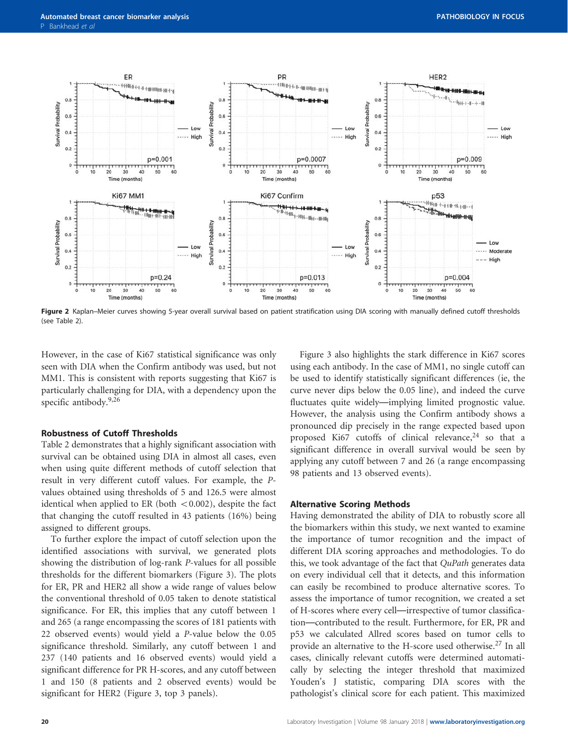<span id="page-5-0"></span>

Figure 2 Kaplan–Meier curves showing 5-year overall survival based on patient stratification using DIA scoring with manually defined cutoff thresholds (see [Table 2](#page-4-0)).

However, in the case of Ki67 statistical significance was only seen with DIA when the Confirm antibody was used, but not MM1. This is consistent with reports suggesting that Ki67 is particularly challenging for DIA, with a dependency upon the specific antibody.<sup>[9,26](#page-11-0)</sup>

## Robustness of Cutoff Thresholds

[Table 2](#page-4-0) demonstrates that a highly significant association with survival can be obtained using DIA in almost all cases, even when using quite different methods of cutoff selection that result in very different cutoff values. For example, the Pvalues obtained using thresholds of 5 and 126.5 were almost identical when applied to ER (both  $< 0.002$ ), despite the fact that changing the cutoff resulted in 43 patients (16%) being assigned to different groups.

To further explore the impact of cutoff selection upon the identified associations with survival, we generated plots showing the distribution of log-rank P-values for all possible thresholds for the different biomarkers ([Figure 3\)](#page-6-0). The plots for ER, PR and HER2 all show a wide range of values below the conventional threshold of 0.05 taken to denote statistical significance. For ER, this implies that any cutoff between 1 and 265 (a range encompassing the scores of 181 patients with 22 observed events) would yield a P-value below the 0.05 significance threshold. Similarly, any cutoff between 1 and 237 (140 patients and 16 observed events) would yield a significant difference for PR H-scores, and any cutoff between 1 and 150 (8 patients and 2 observed events) would be significant for HER2 ([Figure 3,](#page-6-0) top 3 panels).

[Figure 3](#page-6-0) also highlights the stark difference in Ki67 scores using each antibody. In the case of MM1, no single cutoff can be used to identify statistically significant differences (ie, the curve never dips below the 0.05 line), and indeed the curve fluctuates quite widely—implying limited prognostic value. However, the analysis using the Confirm antibody shows a pronounced dip precisely in the range expected based upon proposed Ki67 cutoffs of clinical relevance, $24$  so that a significant difference in overall survival would be seen by applying any cutoff between 7 and 26 (a range encompassing 98 patients and 13 observed events).

## Alternative Scoring Methods

Having demonstrated the ability of DIA to robustly score all the biomarkers within this study, we next wanted to examine the importance of tumor recognition and the impact of different DIA scoring approaches and methodologies. To do this, we took advantage of the fact that QuPath generates data on every individual cell that it detects, and this information can easily be recombined to produce alternative scores. To assess the importance of tumor recognition, we created a set of H-scores where every cell—irrespective of tumor classification—contributed to the result. Furthermore, for ER, PR and p53 we calculated Allred scores based on tumor cells to provide an alternative to the H-score used otherwise.[27](#page-11-0) In all cases, clinically relevant cutoffs were determined automatically by selecting the integer threshold that maximized Youden's J statistic, comparing DIA scores with the pathologist's clinical score for each patient. This maximized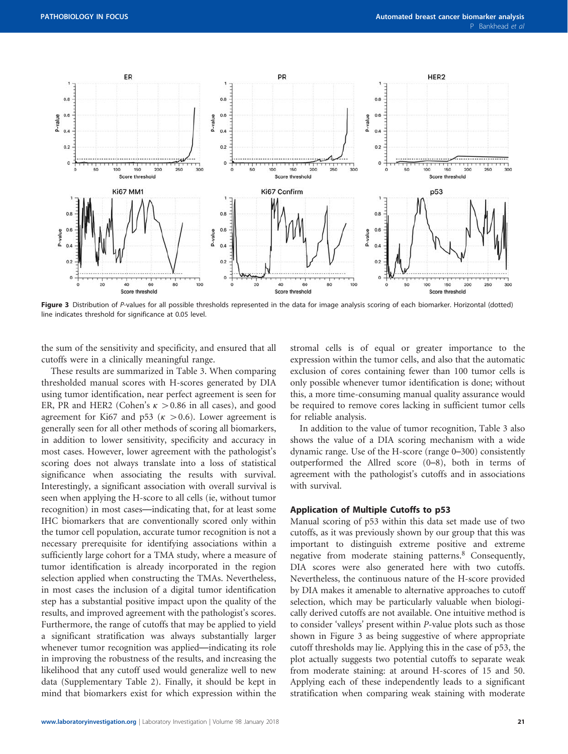<span id="page-6-0"></span>

Figure 3 Distribution of P-values for all possible thresholds represented in the data for image analysis scoring of each biomarker. Horizontal (dotted) line indicates threshold for significance at 0.05 level.

the sum of the sensitivity and specificity, and ensured that all cutoffs were in a clinically meaningful range.

These results are summarized in [Table 3.](#page-7-0) When comparing thresholded manual scores with H-scores generated by DIA using tumor identification, near perfect agreement is seen for ER, PR and HER2 (Cohen's  $\kappa > 0.86$  in all cases), and good agreement for Ki67 and p53 ( $\kappa > 0.6$ ). Lower agreement is generally seen for all other methods of scoring all biomarkers, in addition to lower sensitivity, specificity and accuracy in most cases. However, lower agreement with the pathologist's scoring does not always translate into a loss of statistical significance when associating the results with survival. Interestingly, a significant association with overall survival is seen when applying the H-score to all cells (ie, without tumor recognition) in most cases—indicating that, for at least some IHC biomarkers that are conventionally scored only within the tumor cell population, accurate tumor recognition is not a necessary prerequisite for identifying associations within a sufficiently large cohort for a TMA study, where a measure of tumor identification is already incorporated in the region selection applied when constructing the TMAs. Nevertheless, in most cases the inclusion of a digital tumor identification step has a substantial positive impact upon the quality of the results, and improved agreement with the pathologist's scores. Furthermore, the range of cutoffs that may be applied to yield a significant stratification was always substantially larger whenever tumor recognition was applied—indicating its role in improving the robustness of the results, and increasing the likelihood that any cutoff used would generalize well to new data (Supplementary Table 2). Finally, it should be kept in mind that biomarkers exist for which expression within the stromal cells is of equal or greater importance to the expression within the tumor cells, and also that the automatic exclusion of cores containing fewer than 100 tumor cells is only possible whenever tumor identification is done; without this, a more time-consuming manual quality assurance would be required to remove cores lacking in sufficient tumor cells for reliable analysis.

In addition to the value of tumor recognition, [Table 3](#page-7-0) also shows the value of a DIA scoring mechanism with a wide dynamic range. Use of the H-score (range 0–300) consistently outperformed the Allred score (0–8), both in terms of agreement with the pathologist's cutoffs and in associations with survival.

## Application of Multiple Cutoffs to p53

Manual scoring of p53 within this data set made use of two cutoffs, as it was previously shown by our group that this was important to distinguish extreme positive and extreme negative from moderate staining patterns.[8](#page-11-0) Consequently, DIA scores were also generated here with two cutoffs. Nevertheless, the continuous nature of the H-score provided by DIA makes it amenable to alternative approaches to cutoff selection, which may be particularly valuable when biologically derived cutoffs are not available. One intuitive method is to consider 'valleys' present within P-value plots such as those shown in Figure 3 as being suggestive of where appropriate cutoff thresholds may lie. Applying this in the case of p53, the plot actually suggests two potential cutoffs to separate weak from moderate staining: at around H-scores of 15 and 50. Applying each of these independently leads to a significant stratification when comparing weak staining with moderate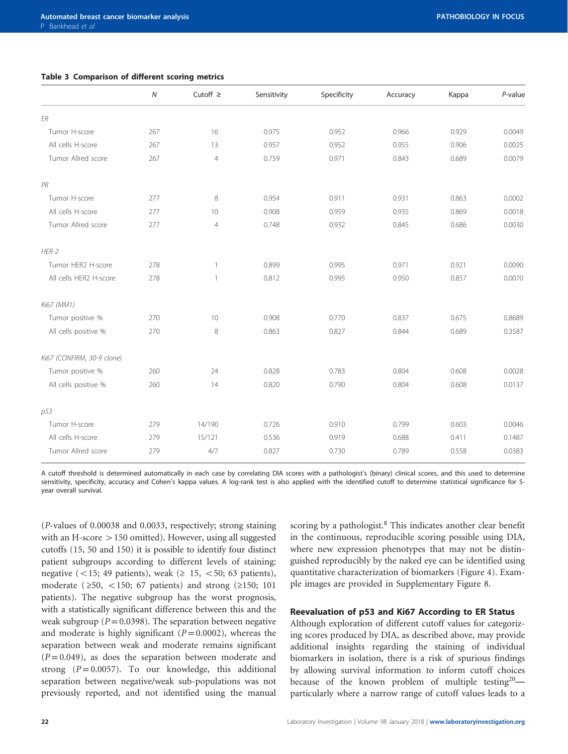<span id="page-7-0"></span>

|  | Table 3 Comparison of different scoring metrics |  |  |  |  |
|--|-------------------------------------------------|--|--|--|--|
|--|-------------------------------------------------|--|--|--|--|

|                            | $\overline{N}$ | Cutoff $\geq$   | Sensitivity | Specificity | Accuracy | Kappa | P-value |
|----------------------------|----------------|-----------------|-------------|-------------|----------|-------|---------|
| ER                         |                |                 |             |             |          |       |         |
| Tumor H-score              | 267            | 16              | 0.975       | 0.952       | 0.966    | 0.929 | 0.0049  |
| All cells H-score          | 267            | 13              | 0.957       | 0.952       | 0.955    | 0.906 | 0.0025  |
| Tumor Allred score         | 267            | $\overline{4}$  | 0.759       | 0.971       | 0.843    | 0.689 | 0.0079  |
| PR                         |                |                 |             |             |          |       |         |
| Tumor H-score              | 277            | 8               | 0.954       | 0.911       | 0.931    | 0.863 | 0.0002  |
| All cells H-score          | 277            | 10 <sup>°</sup> | 0.908       | 0.959       | 0.935    | 0.869 | 0.0018  |
| Tumor Allred score         | 277            | $\overline{4}$  | 0.748       | 0.932       | 0.845    | 0.686 | 0.0030  |
| $HER-2$                    |                |                 |             |             |          |       |         |
| Tumor HER2 H-score         | 278            | 1               | 0.899       | 0.995       | 0.971    | 0.921 | 0.0090  |
| All cells HER2 H-score     | 278            | 1               | 0.812       | 0.995       | 0.950    | 0.857 | 0.0070  |
| Ki67 (MM1)                 |                |                 |             |             |          |       |         |
| Tumor positive %           | 270            | 10              | 0.908       | 0.770       | 0.837    | 0.675 | 0.8689  |
| All cells positive %       | 270            | 8               | 0.863       | 0.827       | 0.844    | 0.689 | 0.3587  |
| Ki67 (CONFIRM, 30-9 clone) |                |                 |             |             |          |       |         |
| Tumor positive %           | 260            | 24              | 0.828       | 0.783       | 0.804    | 0.608 | 0.0028  |
| All cells positive %       | 260            | 14              | 0.820       | 0.790       | 0.804    | 0.608 | 0.0137  |
| p53                        |                |                 |             |             |          |       |         |
| Tumor H-score              | 279            | 14/190          | 0.726       | 0.910       | 0.799    | 0.603 | 0.0046  |
| All cells H-score          | 279            | 15/121          | 0.536       | 0.919       | 0.688    | 0.411 | 0.1487  |
| Tumor Allred score         | 279            | 4/7             | 0.827       | 0.730       | 0.789    | 0.558 | 0.0383  |

A cutoff threshold is determined automatically in each case by correlating DIA scores with a pathologist's (binary) clinical scores, and this used to determine sensitivity, specificity, accuracy and Cohen's kappa values. A log-rank test is also applied with the identified cutoff to determine statistical significance for 5year overall survival.

(P-values of 0.00038 and 0.0033, respectively; strong staining with an H-score  $>150$  omitted). However, using all suggested cutoffs (15, 50 and 150) it is possible to identify four distinct patient subgroups according to different levels of staining: negative (<15; 49 patients), weak ( $\geq$  15, <50; 63 patients), moderate ( $\geq 50$ , <150; 67 patients) and strong ( $\geq 150$ ; 101 patients). The negative subgroup has the worst prognosis, with a statistically significant difference between this and the weak subgroup ( $P = 0.0398$ ). The separation between negative and moderate is highly significant  $(P = 0.0002)$ , whereas the separation between weak and moderate remains significant  $(P=0.049)$ , as does the separation between moderate and strong  $(P=0.0057)$ . To our knowledge, this additional separation between negative/weak sub-populations was not previously reported, and not identified using the manual

scoring by a pathologist.<sup>[8](#page-11-0)</sup> This indicates another clear benefit in the continuous, reproducible scoring possible using DIA, where new expression phenotypes that may not be distinguished reproducibly by the naked eye can be identified using quantitative characterization of biomarkers ([Figure 4\)](#page-8-0). Example images are provided in Supplementary Figure 8.

# Reevaluation of p53 and Ki67 According to ER Status

Although exploration of different cutoff values for categorizing scores produced by DIA, as described above, may provide additional insights regarding the staining of individual biomarkers in isolation, there is a risk of spurious findings by allowing survival information to inform cutoff choices because of the known problem of multiple testing<sup>[20](#page-11-0)</sup> particularly where a narrow range of cutoff values leads to a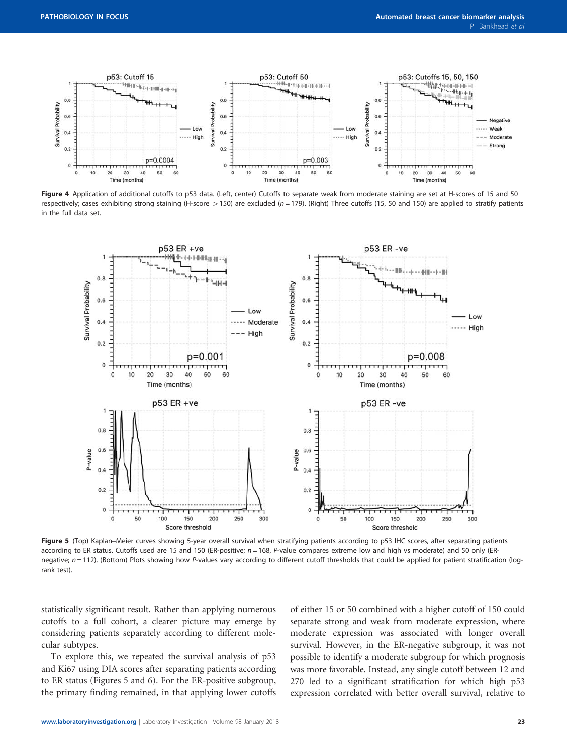<span id="page-8-0"></span>

Figure 4 Application of additional cutoffs to p53 data. (Left, center) Cutoffs to separate weak from moderate staining are set at H-scores of 15 and 50 respectively; cases exhibiting strong staining (H-score > 150) are excluded (n = 179). (Right) Three cutoffs (15, 50 and 150) are applied to stratify patients in the full data set.



Figure 5 (Top) Kaplan–Meier curves showing 5-year overall survival when stratifying patients according to p53 IHC scores, after separating patients according to ER status. Cutoffs used are 15 and 150 (ER-positive;  $n = 168$ , P-value compares extreme low and high vs moderate) and 50 only (ERnegative;  $n = 112$ ). (Bottom) Plots showing how P-values vary according to different cutoff thresholds that could be applied for patient stratification (logrank test).

statistically significant result. Rather than applying numerous cutoffs to a full cohort, a clearer picture may emerge by considering patients separately according to different molecular subtypes.

To explore this, we repeated the survival analysis of p53 and Ki67 using DIA scores after separating patients according to ER status (Figures 5 and [6\)](#page-9-0). For the ER-positive subgroup, the primary finding remained, in that applying lower cutoffs

of either 15 or 50 combined with a higher cutoff of 150 could separate strong and weak from moderate expression, where moderate expression was associated with longer overall survival. However, in the ER-negative subgroup, it was not possible to identify a moderate subgroup for which prognosis was more favorable. Instead, any single cutoff between 12 and 270 led to a significant stratification for which high p53 expression correlated with better overall survival, relative to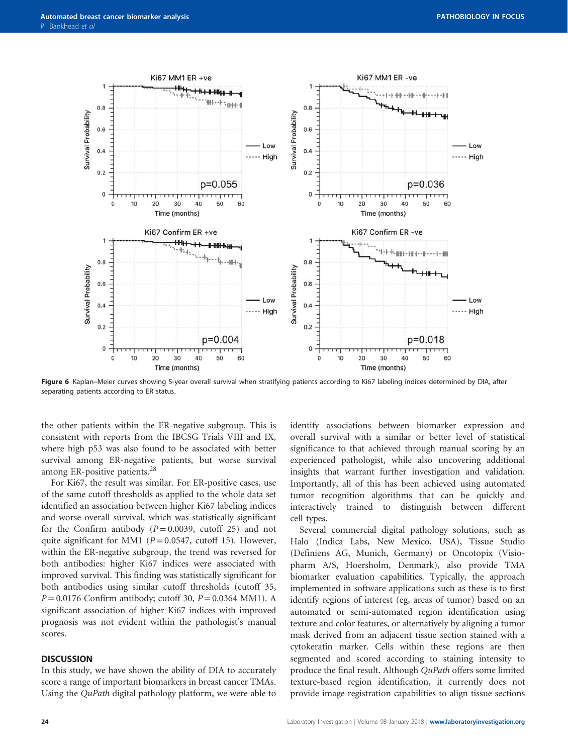<span id="page-9-0"></span>

Figure 6 Kaplan–Meier curves showing 5-year overall survival when stratifying patients according to Ki67 labeling indices determined by DIA, after separating patients according to ER status.

the other patients within the ER-negative subgroup. This is consistent with reports from the IBCSG Trials VIII and IX, where high p53 was also found to be associated with better survival among ER-negative patients, but worse survival among ER-positive patients.[28](#page-11-0)

For Ki67, the result was similar. For ER-positive cases, use of the same cutoff thresholds as applied to the whole data set identified an association between higher Ki67 labeling indices and worse overall survival, which was statistically significant for the Confirm antibody ( $P = 0.0039$ , cutoff 25) and not quite significant for MM1 ( $P = 0.0547$ , cutoff 15). However, within the ER-negative subgroup, the trend was reversed for both antibodies: higher Ki67 indices were associated with improved survival. This finding was statistically significant for both antibodies using similar cutoff thresholds (cutoff 35,  $P = 0.0176$  Confirm antibody; cutoff 30,  $P = 0.0364$  MM1). A significant association of higher Ki67 indices with improved prognosis was not evident within the pathologist's manual scores.

#### **DISCUSSION**

In this study, we have shown the ability of DIA to accurately score a range of important biomarkers in breast cancer TMAs. Using the QuPath digital pathology platform, we were able to

identify associations between biomarker expression and overall survival with a similar or better level of statistical significance to that achieved through manual scoring by an experienced pathologist, while also uncovering additional insights that warrant further investigation and validation. Importantly, all of this has been achieved using automated tumor recognition algorithms that can be quickly and interactively trained to distinguish between different cell types.

Several commercial digital pathology solutions, such as Halo (Indica Labs, New Mexico, USA), Tissue Studio (Definiens AG, Munich, Germany) or Oncotopix (Visiopharm A/S, Hoersholm, Denmark), also provide TMA biomarker evaluation capabilities. Typically, the approach implemented in software applications such as these is to first identify regions of interest (eg, areas of tumor) based on an automated or semi-automated region identification using texture and color features, or alternatively by aligning a tumor mask derived from an adjacent tissue section stained with a cytokeratin marker. Cells within these regions are then segmented and scored according to staining intensity to produce the final result. Although QuPath offers some limited texture-based region identification, it currently does not provide image registration capabilities to align tissue sections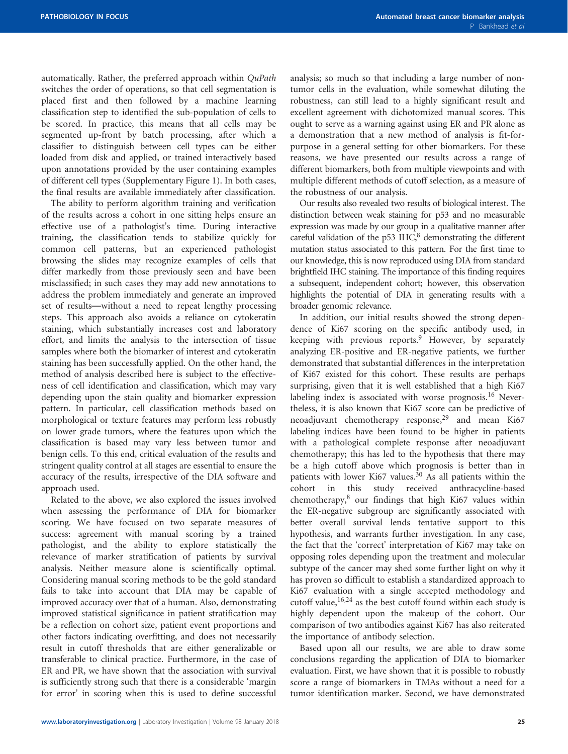automatically. Rather, the preferred approach within QuPath switches the order of operations, so that cell segmentation is placed first and then followed by a machine learning classification step to identified the sub-population of cells to be scored. In practice, this means that all cells may be segmented up-front by batch processing, after which a classifier to distinguish between cell types can be either loaded from disk and applied, or trained interactively based upon annotations provided by the user containing examples of different cell types (Supplementary Figure 1). In both cases, the final results are available immediately after classification.

The ability to perform algorithm training and verification of the results across a cohort in one sitting helps ensure an effective use of a pathologist's time. During interactive training, the classification tends to stabilize quickly for common cell patterns, but an experienced pathologist browsing the slides may recognize examples of cells that differ markedly from those previously seen and have been misclassified; in such cases they may add new annotations to address the problem immediately and generate an improved set of results—without a need to repeat lengthy processing steps. This approach also avoids a reliance on cytokeratin staining, which substantially increases cost and laboratory effort, and limits the analysis to the intersection of tissue samples where both the biomarker of interest and cytokeratin staining has been successfully applied. On the other hand, the method of analysis described here is subject to the effectiveness of cell identification and classification, which may vary depending upon the stain quality and biomarker expression pattern. In particular, cell classification methods based on morphological or texture features may perform less robustly on lower grade tumors, where the features upon which the classification is based may vary less between tumor and benign cells. To this end, critical evaluation of the results and stringent quality control at all stages are essential to ensure the accuracy of the results, irrespective of the DIA software and approach used.

Related to the above, we also explored the issues involved when assessing the performance of DIA for biomarker scoring. We have focused on two separate measures of success: agreement with manual scoring by a trained pathologist, and the ability to explore statistically the relevance of marker stratification of patients by survival analysis. Neither measure alone is scientifically optimal. Considering manual scoring methods to be the gold standard fails to take into account that DIA may be capable of improved accuracy over that of a human. Also, demonstrating improved statistical significance in patient stratification may be a reflection on cohort size, patient event proportions and other factors indicating overfitting, and does not necessarily result in cutoff thresholds that are either generalizable or transferable to clinical practice. Furthermore, in the case of ER and PR, we have shown that the association with survival is sufficiently strong such that there is a considerable 'margin for error' in scoring when this is used to define successful

analysis; so much so that including a large number of nontumor cells in the evaluation, while somewhat diluting the robustness, can still lead to a highly significant result and excellent agreement with dichotomized manual scores. This ought to serve as a warning against using ER and PR alone as a demonstration that a new method of analysis is fit-forpurpose in a general setting for other biomarkers. For these reasons, we have presented our results across a range of different biomarkers, both from multiple viewpoints and with multiple different methods of cutoff selection, as a measure of the robustness of our analysis.

Our results also revealed two results of biological interest. The distinction between weak staining for p53 and no measurable expression was made by our group in a qualitative manner after careful validation of the p53 IHC, $8$  demonstrating the different mutation status associated to this pattern. For the first time to our knowledge, this is now reproduced using DIA from standard brightfield IHC staining. The importance of this finding requires a subsequent, independent cohort; however, this observation highlights the potential of DIA in generating results with a broader genomic relevance.

In addition, our initial results showed the strong dependence of Ki67 scoring on the specific antibody used, in keeping with previous reports.<sup>[9](#page-11-0)</sup> However, by separately analyzing ER-positive and ER-negative patients, we further demonstrated that substantial differences in the interpretation of Ki67 existed for this cohort. These results are perhaps surprising, given that it is well established that a high Ki67 labeling index is associated with worse prognosis.<sup>[16](#page-11-0)</sup> Nevertheless, it is also known that Ki67 score can be predictive of neoadjuvant chemotherapy response,<sup>[29](#page-11-0)</sup> and mean Ki67 labeling indices have been found to be higher in patients with a pathological complete response after neoadjuvant chemotherapy; this has led to the hypothesis that there may be a high cutoff above which prognosis is better than in patients with lower Ki67 values.<sup>[30](#page-11-0)</sup> As all patients within the cohort in this study received anthracycline-based chemotherapy, $8$  our findings that high Ki67 values within the ER-negative subgroup are significantly associated with better overall survival lends tentative support to this hypothesis, and warrants further investigation. In any case, the fact that the 'correct' interpretation of Ki67 may take on opposing roles depending upon the treatment and molecular subtype of the cancer may shed some further light on why it has proven so difficult to establish a standardized approach to Ki67 evaluation with a single accepted methodology and cutoff value,<sup>[16,24](#page-11-0)</sup> as the best cutoff found within each study is highly dependent upon the makeup of the cohort. Our comparison of two antibodies against Ki67 has also reiterated the importance of antibody selection.

Based upon all our results, we are able to draw some conclusions regarding the application of DIA to biomarker evaluation. First, we have shown that it is possible to robustly score a range of biomarkers in TMAs without a need for a tumor identification marker. Second, we have demonstrated